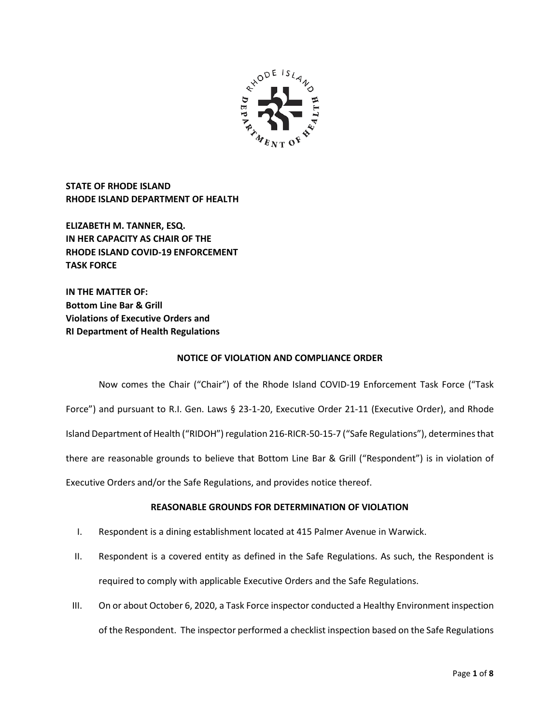

**STATE OF RHODE ISLAND RHODE ISLAND DEPARTMENT OF HEALTH**

**ELIZABETH M. TANNER, ESQ. IN HER CAPACITY AS CHAIR OF THE RHODE ISLAND COVID-19 ENFORCEMENT TASK FORCE** 

**IN THE MATTER OF: Bottom Line Bar & Grill Violations of Executive Orders and RI Department of Health Regulations**

## **NOTICE OF VIOLATION AND COMPLIANCE ORDER**

Now comes the Chair ("Chair") of the Rhode Island COVID-19 Enforcement Task Force ("Task Force") and pursuant to R.I. Gen. Laws § 23-1-20, Executive Order 21-11 (Executive Order), and Rhode Island Department of Health ("RIDOH") regulation 216-RICR-50-15-7 ("Safe Regulations"), determines that there are reasonable grounds to believe that Bottom Line Bar & Grill ("Respondent") is in violation of Executive Orders and/or the Safe Regulations, and provides notice thereof.

# **REASONABLE GROUNDS FOR DETERMINATION OF VIOLATION**

- I. Respondent is a dining establishment located at 415 Palmer Avenue in Warwick.
- II. Respondent is a covered entity as defined in the Safe Regulations. As such, the Respondent is required to comply with applicable Executive Orders and the Safe Regulations.
- III. On or about October 6, 2020, a Task Force inspector conducted a Healthy Environment inspection of the Respondent. The inspector performed a checklist inspection based on the Safe Regulations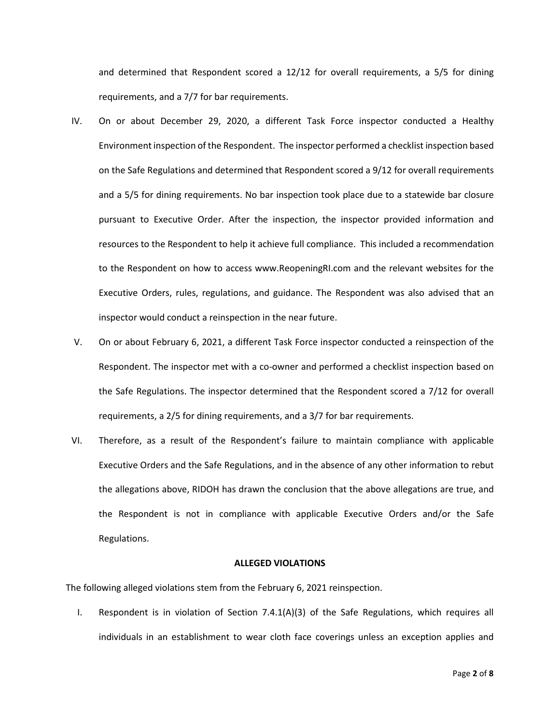and determined that Respondent scored a 12/12 for overall requirements, a 5/5 for dining requirements, and a 7/7 for bar requirements.

- IV. On or about December 29, 2020, a different Task Force inspector conducted a Healthy Environment inspection of the Respondent. The inspector performed a checklist inspection based on the Safe Regulations and determined that Respondent scored a 9/12 for overall requirements and a 5/5 for dining requirements. No bar inspection took place due to a statewide bar closure pursuant to Executive Order. After the inspection, the inspector provided information and resources to the Respondent to help it achieve full compliance. This included a recommendation to the Respondent on how to access www.ReopeningRI.com and the relevant websites for the Executive Orders, rules, regulations, and guidance. The Respondent was also advised that an inspector would conduct a reinspection in the near future.
- V. On or about February 6, 2021, a different Task Force inspector conducted a reinspection of the Respondent. The inspector met with a co-owner and performed a checklist inspection based on the Safe Regulations. The inspector determined that the Respondent scored a 7/12 for overall requirements, a 2/5 for dining requirements, and a 3/7 for bar requirements.
- VI. Therefore, as a result of the Respondent's failure to maintain compliance with applicable Executive Orders and the Safe Regulations, and in the absence of any other information to rebut the allegations above, RIDOH has drawn the conclusion that the above allegations are true, and the Respondent is not in compliance with applicable Executive Orders and/or the Safe Regulations.

### **ALLEGED VIOLATIONS**

The following alleged violations stem from the February 6, 2021 reinspection.

I. Respondent is in violation of Section 7.4.1(A)(3) of the Safe Regulations, which requires all individuals in an establishment to wear cloth face coverings unless an exception applies and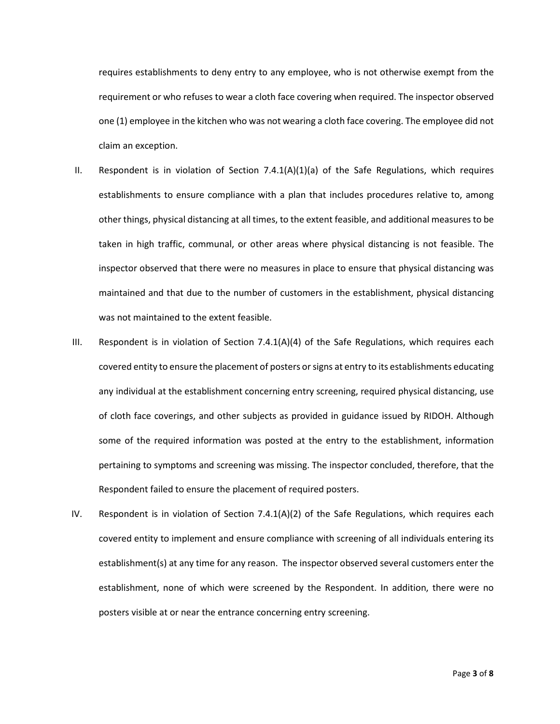requires establishments to deny entry to any employee, who is not otherwise exempt from the requirement or who refuses to wear a cloth face covering when required. The inspector observed one (1) employee in the kitchen who was not wearing a cloth face covering. The employee did not claim an exception.

- II. Respondent is in violation of Section 7.4.1(A)(1)(a) of the Safe Regulations, which requires establishments to ensure compliance with a plan that includes procedures relative to, among other things, physical distancing at all times, to the extent feasible, and additional measures to be taken in high traffic, communal, or other areas where physical distancing is not feasible. The inspector observed that there were no measures in place to ensure that physical distancing was maintained and that due to the number of customers in the establishment, physical distancing was not maintained to the extent feasible.
- III. Respondent is in violation of Section  $7.4.1(A)(4)$  of the Safe Regulations, which requires each covered entity to ensure the placement of posters or signs at entry to its establishments educating any individual at the establishment concerning entry screening, required physical distancing, use of cloth face coverings, and other subjects as provided in guidance issued by RIDOH. Although some of the required information was posted at the entry to the establishment, information pertaining to symptoms and screening was missing. The inspector concluded, therefore, that the Respondent failed to ensure the placement of required posters.
- IV. Respondent is in violation of Section  $7.4.1(A)(2)$  of the Safe Regulations, which requires each covered entity to implement and ensure compliance with screening of all individuals entering its establishment(s) at any time for any reason. The inspector observed several customers enter the establishment, none of which were screened by the Respondent. In addition, there were no posters visible at or near the entrance concerning entry screening.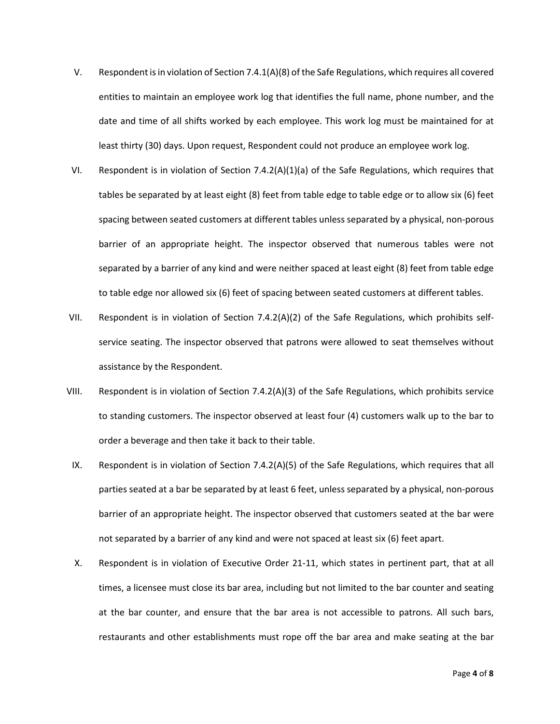- V. Respondent is in violation of Section 7.4.1(A)(8) of the Safe Regulations, which requires all covered entities to maintain an employee work log that identifies the full name, phone number, and the date and time of all shifts worked by each employee. This work log must be maintained for at least thirty (30) days. Upon request, Respondent could not produce an employee work log.
- VI. Respondent is in violation of Section 7.4.2(A)(1)(a) of the Safe Regulations, which requires that tables be separated by at least eight (8) feet from table edge to table edge or to allow six (6) feet spacing between seated customers at different tables unless separated by a physical, non-porous barrier of an appropriate height. The inspector observed that numerous tables were not separated by a barrier of any kind and were neither spaced at least eight (8) feet from table edge to table edge nor allowed six (6) feet of spacing between seated customers at different tables.
- VII. Respondent is in violation of Section 7.4.2(A)(2) of the Safe Regulations, which prohibits selfservice seating. The inspector observed that patrons were allowed to seat themselves without assistance by the Respondent.
- VIII. Respondent is in violation of Section 7.4.2(A)(3) of the Safe Regulations, which prohibits service to standing customers. The inspector observed at least four (4) customers walk up to the bar to order a beverage and then take it back to their table.
- IX. Respondent is in violation of Section 7.4.2(A)(5) of the Safe Regulations, which requires that all parties seated at a bar be separated by at least 6 feet, unless separated by a physical, non-porous barrier of an appropriate height. The inspector observed that customers seated at the bar were not separated by a barrier of any kind and were not spaced at least six (6) feet apart.
- X. Respondent is in violation of Executive Order 21-11, which states in pertinent part, that at all times, a licensee must close its bar area, including but not limited to the bar counter and seating at the bar counter, and ensure that the bar area is not accessible to patrons. All such bars, restaurants and other establishments must rope off the bar area and make seating at the bar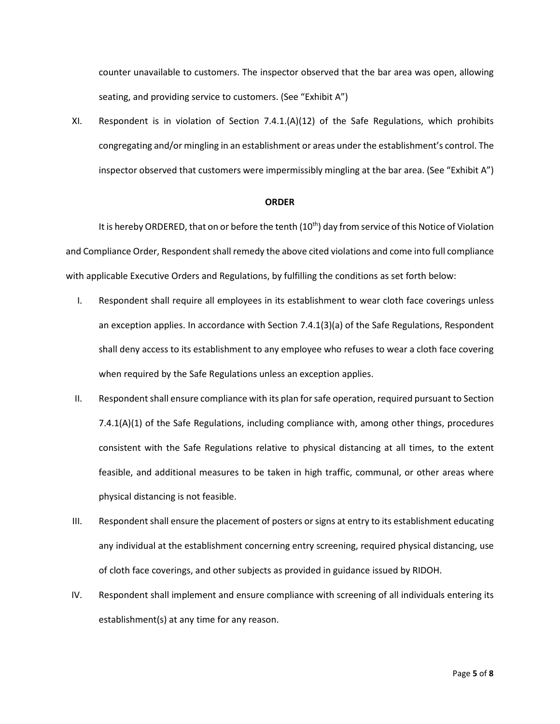counter unavailable to customers. The inspector observed that the bar area was open, allowing seating, and providing service to customers. (See "Exhibit A")

XI. Respondent is in violation of Section 7.4.1.(A)(12) of the Safe Regulations, which prohibits congregating and/or mingling in an establishment or areas under the establishment's control. The inspector observed that customers were impermissibly mingling at the bar area. (See "Exhibit A")

#### **ORDER**

It is hereby ORDERED, that on or before the tenth  $(10<sup>th</sup>)$  day from service of this Notice of Violation and Compliance Order, Respondent shall remedy the above cited violations and come into full compliance with applicable Executive Orders and Regulations, by fulfilling the conditions as set forth below:

- I. Respondent shall require all employees in its establishment to wear cloth face coverings unless an exception applies. In accordance with Section 7.4.1(3)(a) of the Safe Regulations, Respondent shall deny access to its establishment to any employee who refuses to wear a cloth face covering when required by the Safe Regulations unless an exception applies.
- II. Respondent shall ensure compliance with its plan for safe operation, required pursuant to Section 7.4.1(A)(1) of the Safe Regulations, including compliance with, among other things, procedures consistent with the Safe Regulations relative to physical distancing at all times, to the extent feasible, and additional measures to be taken in high traffic, communal, or other areas where physical distancing is not feasible.
- III. Respondent shall ensure the placement of posters or signs at entry to its establishment educating any individual at the establishment concerning entry screening, required physical distancing, use of cloth face coverings, and other subjects as provided in guidance issued by RIDOH.
- IV. Respondent shall implement and ensure compliance with screening of all individuals entering its establishment(s) at any time for any reason.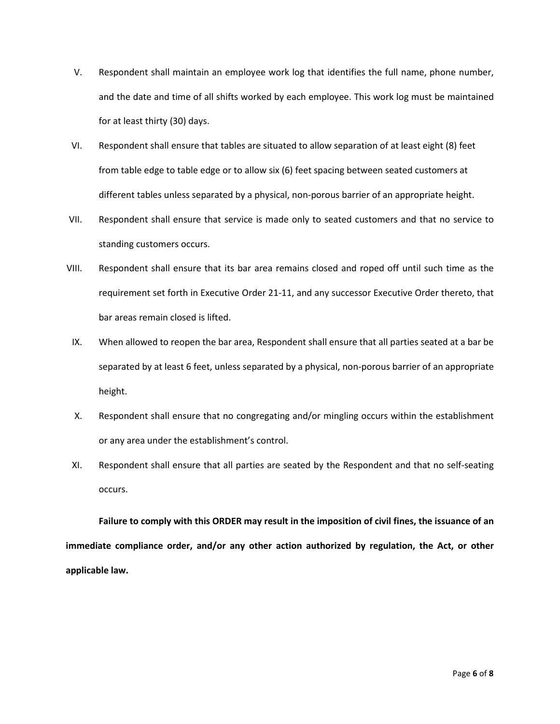- V. Respondent shall maintain an employee work log that identifies the full name, phone number, and the date and time of all shifts worked by each employee. This work log must be maintained for at least thirty (30) days.
- VI. Respondent shall ensure that tables are situated to allow separation of at least eight (8) feet from table edge to table edge or to allow six (6) feet spacing between seated customers at different tables unless separated by a physical, non-porous barrier of an appropriate height.
- VII. Respondent shall ensure that service is made only to seated customers and that no service to standing customers occurs.
- VIII. Respondent shall ensure that its bar area remains closed and roped off until such time as the requirement set forth in Executive Order 21-11, and any successor Executive Order thereto, that bar areas remain closed is lifted.
- IX. When allowed to reopen the bar area, Respondent shall ensure that all parties seated at a bar be separated by at least 6 feet, unless separated by a physical, non-porous barrier of an appropriate height.
- X. Respondent shall ensure that no congregating and/or mingling occurs within the establishment or any area under the establishment's control.
- XI. Respondent shall ensure that all parties are seated by the Respondent and that no self-seating occurs.

**Failure to comply with this ORDER may result in the imposition of civil fines, the issuance of an immediate compliance order, and/or any other action authorized by regulation, the Act, or other applicable law.**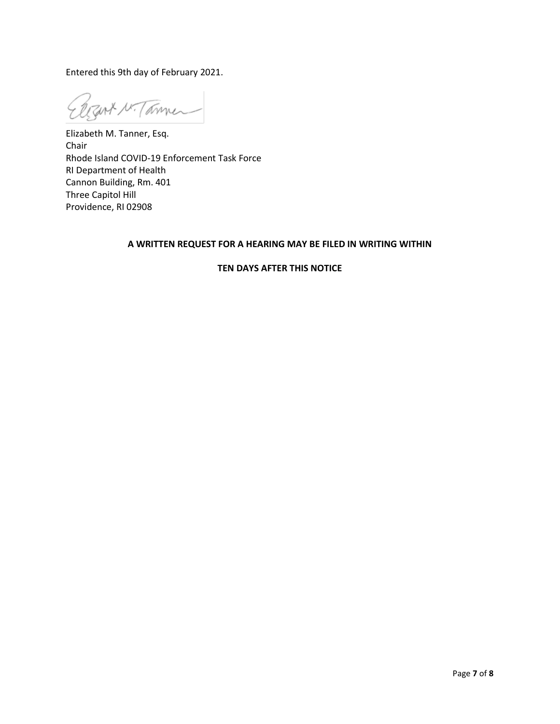Entered this 9th day of February 2021.

Ezert N. Tammer

Elizabeth M. Tanner, Esq. Chair Rhode Island COVID-19 Enforcement Task Force RI Department of Health Cannon Building, Rm. 401 Three Capitol Hill Providence, RI 02908

# **A WRITTEN REQUEST FOR A HEARING MAY BE FILED IN WRITING WITHIN**

# **TEN DAYS AFTER THIS NOTICE**